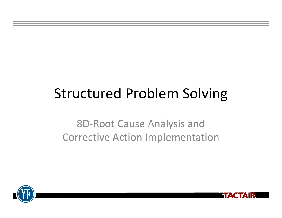# Structured Problem Solving

8D‐Root Cause Analysis and Corrective Action Implementation



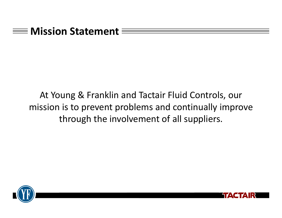

# At Young & Franklin and Tactair Fluid Controls, our mission is to prevent problems and continually improve through the involvement of all suppliers.



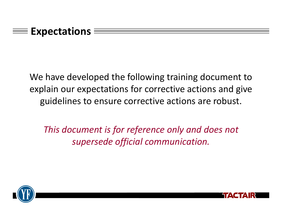We have developed the following training document to explain our expectations for corrective actions and give guidelines to ensure corrective actions are robust.

*This document is for reference only and does not supersede official communication.*



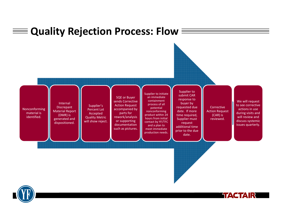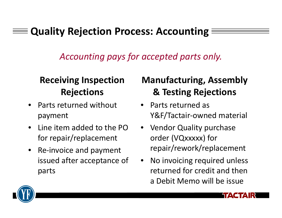# **Quality Rejection Process: Accounting**

*Accounting pays for accepted parts only.*

# **Receiving Inspection Rejections**

- •• Parts returned without payment
- $\bullet$ • Line item added to the PO for repair/replacement
- $\bullet$ ● Re-invoice and payment issued after acceptance of parts

# **Manufacturing, Assembly & Testing Rejections**

- Parts returned as Y&F/Tactair‐owned material
- Vendor Quality purchase order (VQxxxxx) for repair/rework/replacement
- • No invoicing required unless returned for credit and then a Debit Memo will be issue

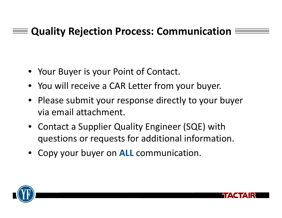# **Quality Rejection Process: Communication**

- Your Buyer is your Point of Contact.
- You will receive <sup>a</sup> CAR Letter from your buyer.
- Please submit your response directly to your buyer via email attachment.
- Contact a Supplier Quality Engineer (SQE) with questions or requests for additional information.
- Copy your buyer on **ALL** communication.



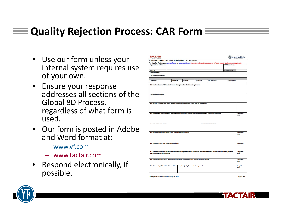# **Quality Rejection Process: CAR Form**

- Use our form unless your internal system requires use of your own.
- Ensure your response addresses all sections of theGlobal 8D Process, regardless of what form is used.
- Our form is posted in Adobe and Word format at:
	- www.yf.com
	- www.tactair.com
- • Respond electronically, if possible.

| <b>Supplier Name &amp; Address:</b>                                                                                                                                                         |            |           |              | For Supplier Training see www.yf.com or www.tactair.com Corrective Actions will be validated by YF/Tactair Supplier Quality on next Supplier visit | <b>CAR Date of Issue:</b> |                                                 |
|---------------------------------------------------------------------------------------------------------------------------------------------------------------------------------------------|------------|-----------|--------------|----------------------------------------------------------------------------------------------------------------------------------------------------|---------------------------|-------------------------------------------------|
|                                                                                                                                                                                             |            |           |              |                                                                                                                                                    |                           |                                                 |
| <b>Reply To:</b>                                                                                                                                                                            |            |           |              |                                                                                                                                                    | <b>CAR DUE DATE:</b>      |                                                 |
| Supplier e-mail(s):                                                                                                                                                                         |            |           |              |                                                                                                                                                    |                           |                                                 |
| <b>Part Number/Description:</b>                                                                                                                                                             |            |           |              |                                                                                                                                                    |                           |                                                 |
| PO Number:                                                                                                                                                                                  | PO Line #: | PO Lot #: | PO Line Qty: | QTY Defective:                                                                                                                                     | YF/TFC QAR#:              |                                                 |
| (D1) Problem Statement / Non Conformance Description: Specific detailed explanation                                                                                                         |            |           |              |                                                                                                                                                    |                           |                                                 |
| YF/TFC Notes from QAR:<br>(D2) Form a Cross Functional Team: Names, positions, phone numbers, email, indicate team leader                                                                   |            |           |              |                                                                                                                                                    |                           |                                                 |
| (D3) Containment Actions/Interim Corrective Action: Protect VF/TFC from non-conforming parts and support our production                                                                     |            |           |              |                                                                                                                                                    |                           |                                                 |
| (D4) Root Cause: Why made?                                                                                                                                                                  |            |           |              | <b>Root Cause: How escaped?</b>                                                                                                                    |                           | Completion<br>Date:                             |
| (D5) Permanent Corrective Action (PCA): Provide objective evidence                                                                                                                          |            |           |              |                                                                                                                                                    |                           | <b>Completion</b><br>Date:                      |
| (D6) Validation: Does your PCA prevent the issue?                                                                                                                                           |            |           |              |                                                                                                                                                    |                           | <b>Completion</b><br><b>Date:</b>               |
| (D7) Verification: How will you ensure that this fix will be permanent and continuous? Include read across to all other similar parts and processes<br>that could have this potential issue |            |           |              |                                                                                                                                                    |                           | Date:                                           |
| (D8) Congratulate Your Team: Thank you for proactively resolving this issue, capture "Lessons Learned"                                                                                      |            |           |              |                                                                                                                                                    |                           | <b>Completion</b><br><b>Completion</b><br>Date: |



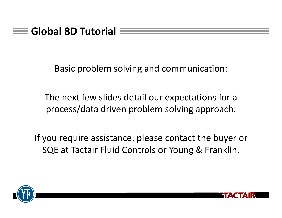## **Global 8D Tutorial**

Basic problem solving and communication:

The next few slides detail our expectations for <sup>a</sup> process/data driven problem solving approach.

If you require assistance, please contact the buyer or SQE at Tactair Fluid Controls or Young & Franklin.



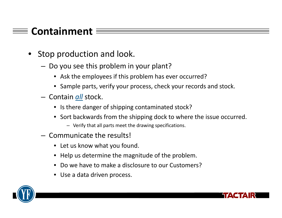# **Containment**

- Stop production and look.
	- – $-$  Do you see this problem in your plant?
		- Ask the employees if this problem has ever occurred?
		- Sample parts, verify your process, check your records and stock.
	- Contain *all* stock.
		- Is there danger of shipping contaminated stock?
		- Sort backwards from the shipping dock to where the issue occurred.
			- Verify that all parts meet the drawing specifications.
	- Communicate the results!
		- Let us know what you found.
		- Help us determine the magnitude of the problem.
		- $\bullet$ Do we have to make <sup>a</sup> disclosure to our Customers?
		- Use <sup>a</sup> data driven process.



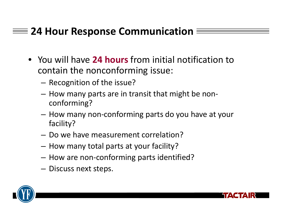# **24 Hour Response Communication**

- You will have **24 hours** from initial notification to contain the nonconforming issue:
	- – $-$  Recognition of the issue?
	- How many parts are in transit that might be non‐ conforming?
	- How many non‐conforming parts do you have at your facility?
	- Do we have measurement correlation?
	- How many total parts at your facility?
	- How are non‐conforming parts identified?
	- $-$  Discuss next steps.



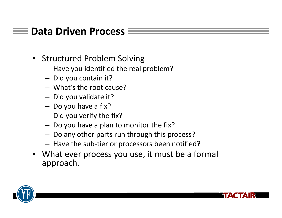## **Data Driven Process**

- Structured Problem Solving
	- – $-$  Have you identified the real problem?
	- –— Did you contain it?
	- What's the root cause?
	- – $-$  Did you validate it?
	- – $-$  Do you have a fix?
	- – $-$  Did you verify the fix?
	- – $-$  Do you have a plan to monitor the fix?
	- – $-$  Do any other parts run through this process?
	- – $-$  Have the sub-tier or processors been notified?
- What ever process you use, it must be <sup>a</sup> formal approach.



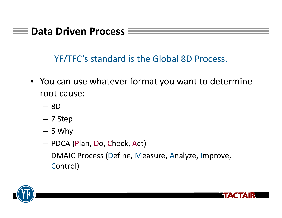### **Data Driven Process**

YF/TFC's standard is the Global 8D Process.

- You can use whatever format you want to determine root cause:
	- 8D
	- 7 Step
	- 5 Why
	- PDCA (Plan, Do, Check, Act)
	- DMAIC Process (Define, Measure, Analyze, Improve, Control)



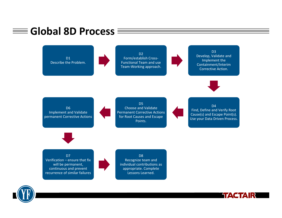



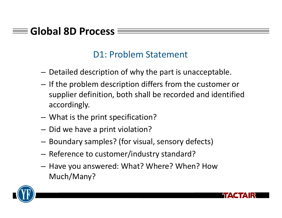#### D1: Problem Statement

- $-$  Detailed description of why the part is unacceptable.
- $\hbox{--}$  If the problem description differs from the customer or supplier definition, both shall be recorded and identified accordingly.
- –What is the print specification?
- $-$  Did we have a print violation?
- $-$  Boundary samples? (for visual, sensory defects)
- Reference to customer/industry standard?
- $-$  Have you answered: What? Where? When? How Much/Many?



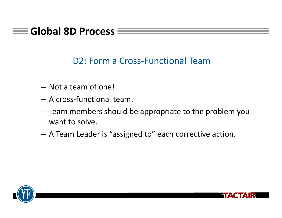#### D2: Form <sup>a</sup> Cross‐Functional Team

- Not a team of one!
- A cross‐functional team.
- Team members should be appropriate to the problem you want to solve.
- A Team Leader is "assigned to" each corrective action.



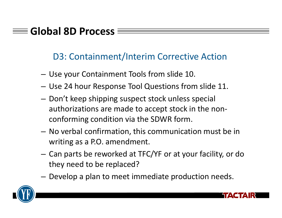#### D3: Containment/Interim Corrective Action

- Use your Containment Tools from slide 10.
- Use 24 hour Response Tool Questions from slide 11.
- $-$  Don't keep shipping suspect stock unless special authorizations are made to accept stock in the non‐ conforming condition via the SDWR form.
- No verbal confirmation, this communication must be in writing as <sup>a</sup> P.O. amendment.
- Can parts be reworked at TFC/YF or at your facility, or do they need to be replaced?
- $-$  Develop a plan to meet immediate production needs.



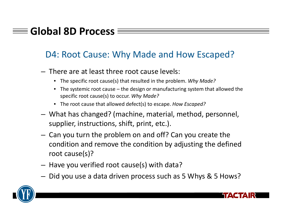#### D4: Root Cause: Why Made and How Escaped?

- There are at least three root cause levels:
	- The specific root cause(s) that resulted in the problem. *Why Made?*
	- The systemic root cause the design or manufacturing system that allowed the specific root cause(s) to occur. *Why Made?*
	- The root cause that allowed defect(s) to escape. *How Escaped?*
- – What has changed? (machine, material, method, personnel, supplier, instructions, shift, print, etc.).
- – $-$  Can you turn the problem on and off? Can you create the condition and remove the condition by adjusting the defined root cause(s)?
- – $-$  Have you verified root cause(s) with data?
- – $-$  Did you use a data driven process such as 5 Whys & 5 Hows?



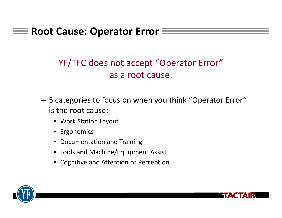# **Root Cause: Operator Error**

## YF/TFC does not accept "Operator Error" as a root cause.

- 5 categories to focus on when you think "Operator Error" is the root cause:
	- Work Station Layout
	- Ergonomics
	- Documentation and Training
	- Tools and Machine/Equipment Assist
	- Cognitive and Attention or Perception



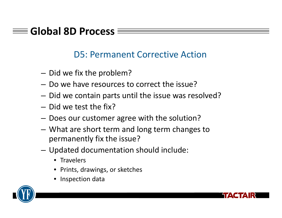#### D5: Permanent Corrective Action

- $-$  Did we fix the problem?
- Do we have resources to correct the issue?
- $-$  Did we contain parts until the issue was resolved?
- Did we test the fix?
- Does our customer agree with the solution?
- What are short term and long term changes to permanently fix the issue?
- Updated documentation should include:
	- Travelers
	- •Prints, drawings, or sketches
	- Inspection data



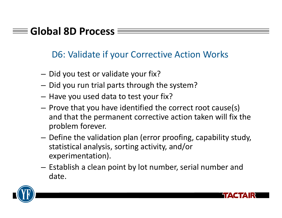#### D6: Validate if your Corrective Action Works

- $-$  Did you test or validate your fix?
- $-$  Did you run trial parts through the system?
- – $-$  Have you used data to test your fix?
- $-$  Prove that you have identified the correct root cause(s) and that the permanent corrective action taken will fix the problem forever.
- $-$  Define the validation plan (error proofing, capability study, statistical analysis, sorting activity, and/or experimentation).
- – $-$  Establish a clean point by lot number, serial number and date.



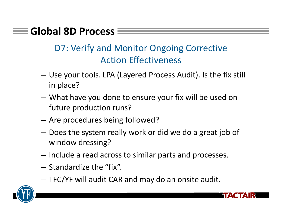# D7: Verify and Monitor Ongoing Corrective Action Effectiveness

- Use your tools. LPA (Layered Process Audit). Is the fix still in place?
- – What have you done to ensure your fix will be used on future production runs?
- Are procedures being followed?
- $-$  Does the system really work or did we do a great job of window dressing?
- – $-$  Include a read across to similar parts and processes.
- Standardize the "fix".
- –TFC/YF will audit CAR and may do an onsite audit.

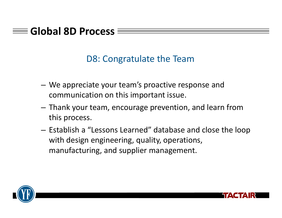#### D8: Congratulate the Team

- We appreciate your team's proactive response and communication on this important issue.
- Thank your team, encourage prevention, and learn from this process.
- – $-$  Establish a "Lessons Learned" database and close the loop with design engineering, quality, operations, manufacturing, and supplier management.



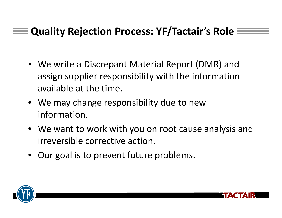# **Quality Rejection Process: YF/Tactair's Role**

- We write <sup>a</sup> Discrepant Material Report (DMR) and assign supplier responsibility with the information available at the time.
- We may change responsibility due to new information.
- We want to work with you on root cause analysis and irreversible corrective action.
- Our goal is to prevent future problems.



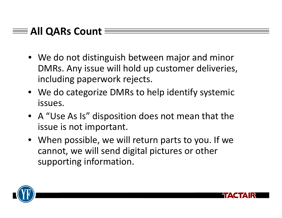# **All QARs Count**

- We do not distinguish between major and minor DMRs. Any issue will hold up customer deliveries, including paperwork rejects.
- We do categorize DMRs to help identify systemic issues.
- A "Use As Is" disposition does not mean that the issue is not important.
- When possible, we will return parts to you. If we cannot, we will send digital pictures or other supporting information.



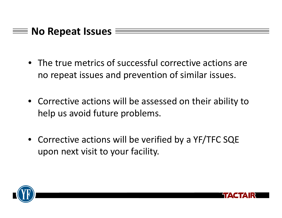## **No Repeat Issues**

- The true metrics of successful corrective actions are no repeat issues and prevention of similar issues.
- Corrective actions will be assessed on their ability to help us avoid future problems.
- Corrective actions will be verified by <sup>a</sup> YF/TFC SQE upon next visit to your facility.